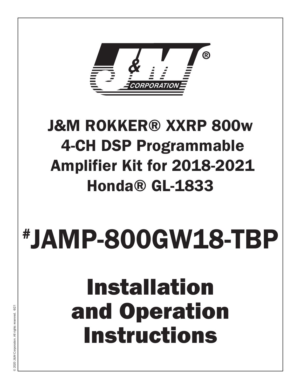

### J&M ROKKER® XXRP 800w 4-CH DSP Programmable Amplifier Kit for 2018-2021 Honda® GL-1833

# # JAMP-800GW18-TBP

## Installation and Operation Instructions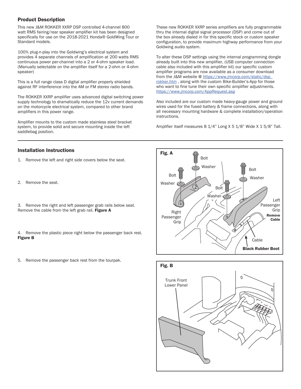#### Product Description

This new J&M ROKKER XXRP DSP controlled 4-channel 800 watt RMS fairing/rear speaker amplifier kit has been designed specifically for use on the 2018-2021 Honda® GoldWing Tour or Standard models.

100% plug-n-play into the Goldwing's electrical system and provides 4 separate channels of amplification at 200 watts RMS continuous power per-channel into a 2 or 4-ohm speaker load. (Manually selectable on the amplifier itself for a 2-ohm or 4-ohm speaker)

This is a full range class D digital amplifier properly shielded against RF interference into the AM or FM stereo radio bands.

The ROKKER XXRP amplifier uses advanced digital switching power supply technology to dramatically reduce the 12v current demands on the motorcycle electrical system, compared to other brand amplifiers in this power range.

Amplifier mounts to the custom made stainless steel bracket system, to provide solid and secure mounting inside the left saddlebag position.

#### Installation Instructions

- 1. Remove the left and right side covers below the seat.
- 2. Remove the seat.
- 3. Remove the right and left passenger grab rails below seat. Remove the cable from the left grab rail. Figure A
- 4. Remove the plastic piece right below the passenger back rest. Figure B
- 5. Remove the passenger back rest from the tourpak.

These new ROKKER XXRP series amplifiers are fully programmable thru the internal digital signal processor (DSP) and come out of the box already dialed in for this specific stock or custom speaker configuration, to provide maximum highway performance from your Goldwing audio system.

To alter these DSP settings using the internal programming dongle already built into this new amplifier, (USB computer connection cable also included with this amplifier kit) our specific custom amplifier programs are now available as a consumer download from the J&M website @ https://www.jmcorp.com/static/dsp\_ rokker.htm , along with the custom Bike-Builder's-App for those who want to fine tune their own specific amplifier adjustments. https://www.jmcorp.com/AppRequest.asp

Also included are our custom made heavy-gauge power and ground wires used for the fused battery & frame connections, along with all necessary mounting hardware & complete installation/operation instructions.

Amplifier itself measures 8 1/4" Long X 5 1/8" Wide X 1 5/8" Tall.



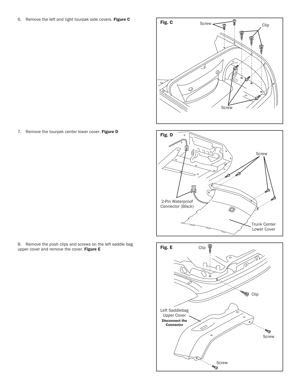6. Remove the left and right tourpak side covers. Figure  $\bf{c}$  Fig.  $\bf{c}$ 

7. Remove the tourpak center lower cover. Figure D

8. Remove the push clips and screws on the left saddle bag upper cover and remove the cover. Figure E





O,

Trunk Center Lower Cover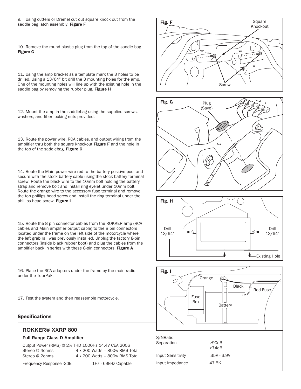9. Using cutters or Dremel cut out square knock out from the saddle bag latch assembly. Figure F

10. Remove the round plastic plug from the top of the saddle bag. Figure G

11. Using the amp bracket as a template mark the 3 holes to be drilled. Using a 13/64" bit drill the 3 mounting holes for the amp. One of the mounting holes will line up with the existing hole in the saddle bag by removing the rubber plug. Figure H

12. Mount the amp in the saddlebag using the supplied screws, washers, and fiber locking nuts provided.

13. Route the power wire, RCA cables, and output wiring from the amplifier thru both the square knockout Figure F and the hole in the top of the saddlebag. Figure G

14. Route the Main power wire red to the battery positive post and secure with the stock battery cable using the stock battery terminal screw. Route the black wire to the 10mm bolt holding the battery strap and remove bolt and install ring eyelet under 10mm bolt. Route the orange wire to the accessory fuse terminal and remove the top phillips head screw and install the ring terminal under the phillips head screw. Figure I

15. Route the 8 pin connector cables from the ROKKER amp (RCA cables and Main amplifier output cable) to the 8 pin connectors located under the frame on the left side of the motorcycle where the left grab rail was previously installed. Unplug the factory 8-pin connectors (inside black rubber boot) and plug the cables from the amplifier back in series with these 8-pin connectors. Figure A

16. Place the RCA adapters under the frame by the main radio under the TourPak.

17. Test the system and then reassemble motorcycle.

#### Specifications

#### **ROKKER® XXRP 800**

#### **Full Range Class D Amplifier**

Output Power (RMS) @ 2% THD 1000Hz 14.4V CEA 2006 Stereo @ 4ohms 4 x 200 Watts – 800w RMS Total<br>Stereo @ 2ohms 4 x 200 Watts – 800w RMS Total  $4 \times 200$  Watts - 800w RMS Total

Frequency Response -3dB 1Hz - 69kHz Capable

Fig. F Square Knockout -40  $\theta$  $\Omega$ **Screw**